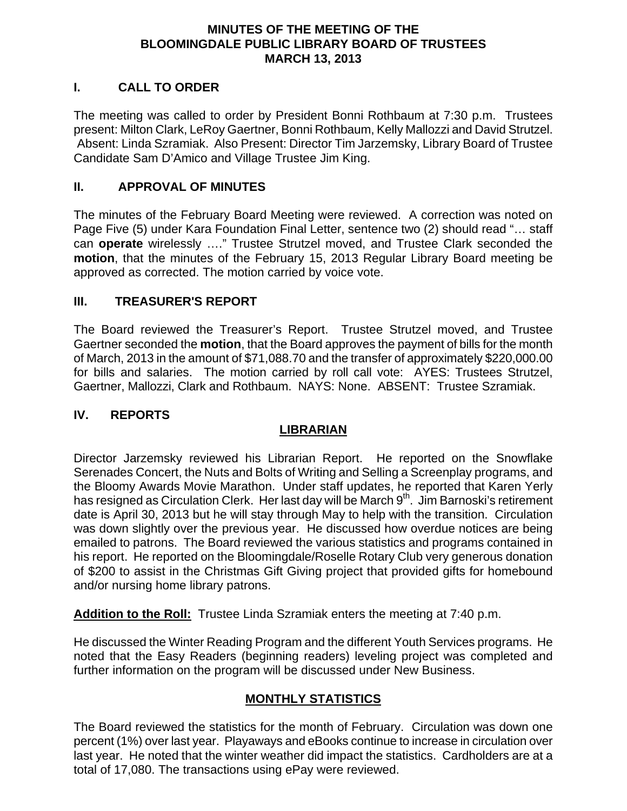#### **MINUTES OF THE MEETING OF THE BLOOMINGDALE PUBLIC LIBRARY BOARD OF TRUSTEES MARCH 13, 2013**

### **I. CALL TO ORDER**

The meeting was called to order by President Bonni Rothbaum at 7:30 p.m. Trustees present: Milton Clark, LeRoy Gaertner, Bonni Rothbaum, Kelly Mallozzi and David Strutzel. Absent: Linda Szramiak. Also Present: Director Tim Jarzemsky, Library Board of Trustee Candidate Sam D'Amico and Village Trustee Jim King.

#### **II. APPROVAL OF MINUTES**

The minutes of the February Board Meeting were reviewed. A correction was noted on Page Five (5) under Kara Foundation Final Letter, sentence two (2) should read "… staff can **operate** wirelessly …." Trustee Strutzel moved, and Trustee Clark seconded the **motion**, that the minutes of the February 15, 2013 Regular Library Board meeting be approved as corrected. The motion carried by voice vote.

#### **III. TREASURER'S REPORT**

The Board reviewed the Treasurer's Report. Trustee Strutzel moved, and Trustee Gaertner seconded the **motion**, that the Board approves the payment of bills for the month of March, 2013 in the amount of \$71,088.70 and the transfer of approximately \$220,000.00 for bills and salaries. The motion carried by roll call vote: AYES: Trustees Strutzel, Gaertner, Mallozzi, Clark and Rothbaum. NAYS: None. ABSENT: Trustee Szramiak.

#### **IV. REPORTS**

#### **LIBRARIAN**

Director Jarzemsky reviewed his Librarian Report. He reported on the Snowflake Serenades Concert, the Nuts and Bolts of Writing and Selling a Screenplay programs, and the Bloomy Awards Movie Marathon. Under staff updates, he reported that Karen Yerly has resigned as Circulation Clerk. Her last day will be March 9<sup>th</sup>. Jim Barnoski's retirement date is April 30, 2013 but he will stay through May to help with the transition. Circulation was down slightly over the previous year. He discussed how overdue notices are being emailed to patrons. The Board reviewed the various statistics and programs contained in his report. He reported on the Bloomingdale/Roselle Rotary Club very generous donation of \$200 to assist in the Christmas Gift Giving project that provided gifts for homebound and/or nursing home library patrons.

**Addition to the Roll:** Trustee Linda Szramiak enters the meeting at 7:40 p.m.

He discussed the Winter Reading Program and the different Youth Services programs. He noted that the Easy Readers (beginning readers) leveling project was completed and further information on the program will be discussed under New Business.

#### **MONTHLY STATISTICS**

The Board reviewed the statistics for the month of February. Circulation was down one percent (1%) over last year. Playaways and eBooks continue to increase in circulation over last year. He noted that the winter weather did impact the statistics. Cardholders are at a total of 17,080. The transactions using ePay were reviewed.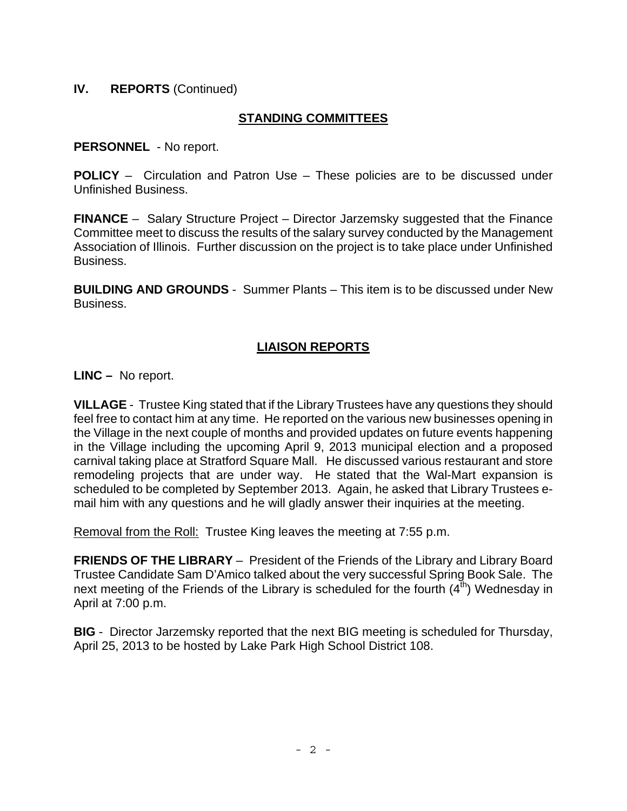## **IV. REPORTS** (Continued)

## **STANDING COMMITTEES**

**PERSONNEL** - No report.

**POLICY** – Circulation and Patron Use – These policies are to be discussed under Unfinished Business.

**FINANCE** – Salary Structure Project – Director Jarzemsky suggested that the Finance Committee meet to discuss the results of the salary survey conducted by the Management Association of Illinois. Further discussion on the project is to take place under Unfinished Business.

**BUILDING AND GROUNDS** - Summer Plants – This item is to be discussed under New Business.

## **LIAISON REPORTS**

**LINC –** No report.

**VILLAGE** - Trustee King stated that if the Library Trustees have any questions they should feel free to contact him at any time. He reported on the various new businesses opening in the Village in the next couple of months and provided updates on future events happening in the Village including the upcoming April 9, 2013 municipal election and a proposed carnival taking place at Stratford Square Mall. He discussed various restaurant and store remodeling projects that are under way. He stated that the Wal-Mart expansion is scheduled to be completed by September 2013. Again, he asked that Library Trustees email him with any questions and he will gladly answer their inquiries at the meeting.

Removal from the Roll: Trustee King leaves the meeting at 7:55 p.m.

**FRIENDS OF THE LIBRARY** – President of the Friends of the Library and Library Board Trustee Candidate Sam D'Amico talked about the very successful Spring Book Sale. The next meeting of the Friends of the Library is scheduled for the fourth  $(4<sup>th</sup>)$  Wednesday in April at 7:00 p.m.

**BIG** - Director Jarzemsky reported that the next BIG meeting is scheduled for Thursday, April 25, 2013 to be hosted by Lake Park High School District 108.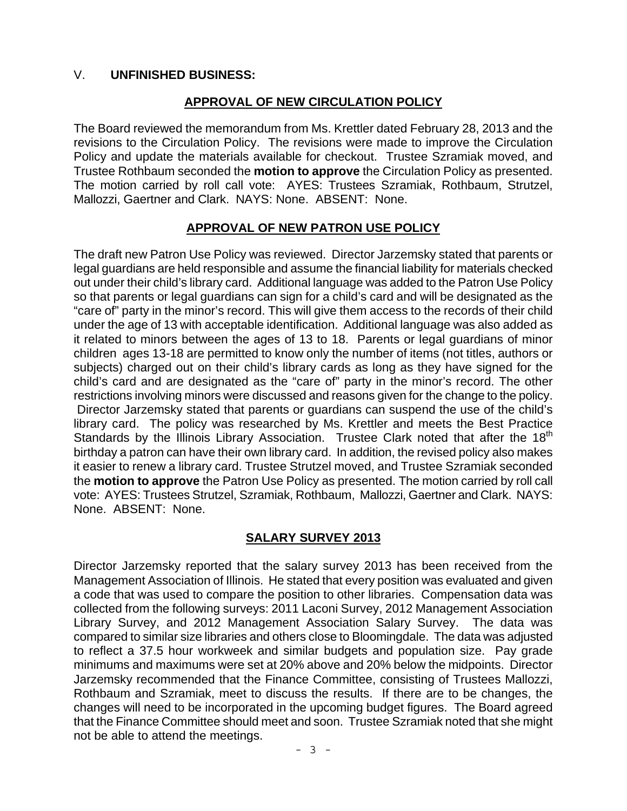#### V. **UNFINISHED BUSINESS:**

#### **APPROVAL OF NEW CIRCULATION POLICY**

The Board reviewed the memorandum from Ms. Krettler dated February 28, 2013 and the revisions to the Circulation Policy. The revisions were made to improve the Circulation Policy and update the materials available for checkout. Trustee Szramiak moved, and Trustee Rothbaum seconded the **motion to approve** the Circulation Policy as presented. The motion carried by roll call vote: AYES: Trustees Szramiak, Rothbaum, Strutzel, Mallozzi, Gaertner and Clark. NAYS: None. ABSENT: None.

### **APPROVAL OF NEW PATRON USE POLICY**

The draft new Patron Use Policy was reviewed. Director Jarzemsky stated that parents or legal guardians are held responsible and assume the financial liability for materials checked out under their child's library card. Additional language was added to the Patron Use Policy so that parents or legal guardians can sign for a child's card and will be designated as the "care of" party in the minor's record. This will give them access to the records of their child under the age of 13 with acceptable identification. Additional language was also added as it related to minors between the ages of 13 to 18. Parents or legal guardians of minor children ages 13-18 are permitted to know only the number of items (not titles, authors or subjects) charged out on their child's library cards as long as they have signed for the child's card and are designated as the "care of" party in the minor's record. The other restrictions involving minors were discussed and reasons given for the change to the policy. Director Jarzemsky stated that parents or guardians can suspend the use of the child's library card. The policy was researched by Ms. Krettler and meets the Best Practice Standards by the Illinois Library Association. Trustee Clark noted that after the 18<sup>th</sup> birthday a patron can have their own library card. In addition, the revised policy also makes it easier to renew a library card. Trustee Strutzel moved, and Trustee Szramiak seconded the **motion to approve** the Patron Use Policy as presented. The motion carried by roll call vote: AYES: Trustees Strutzel, Szramiak, Rothbaum, Mallozzi, Gaertner and Clark. NAYS: None. ABSENT: None.

#### **SALARY SURVEY 2013**

Director Jarzemsky reported that the salary survey 2013 has been received from the Management Association of Illinois. He stated that every position was evaluated and given a code that was used to compare the position to other libraries. Compensation data was collected from the following surveys: 2011 Laconi Survey, 2012 Management Association Library Survey, and 2012 Management Association Salary Survey. The data was compared to similar size libraries and others close to Bloomingdale. The data was adjusted to reflect a 37.5 hour workweek and similar budgets and population size. Pay grade minimums and maximums were set at 20% above and 20% below the midpoints. Director Jarzemsky recommended that the Finance Committee, consisting of Trustees Mallozzi, Rothbaum and Szramiak, meet to discuss the results. If there are to be changes, the changes will need to be incorporated in the upcoming budget figures. The Board agreed that the Finance Committee should meet and soon. Trustee Szramiak noted that she might not be able to attend the meetings.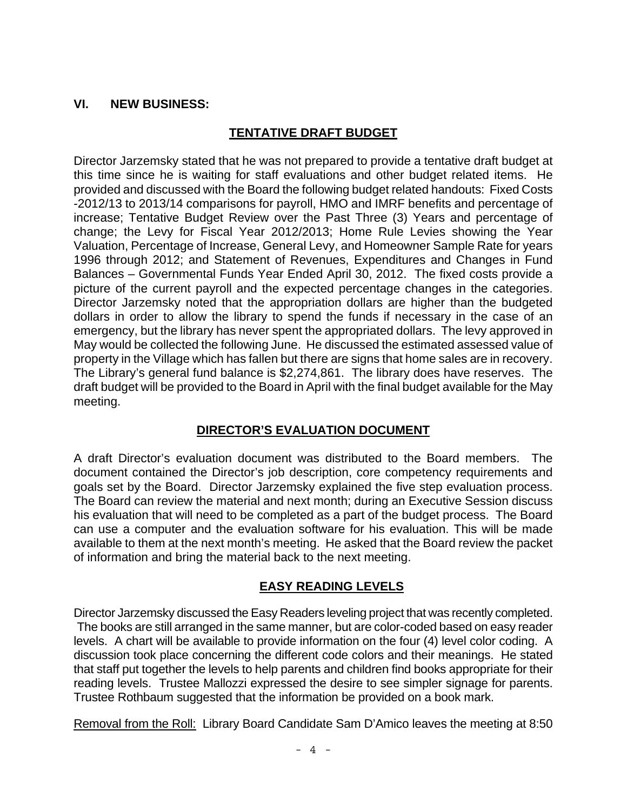### **VI. NEW BUSINESS:**

## **TENTATIVE DRAFT BUDGET**

Director Jarzemsky stated that he was not prepared to provide a tentative draft budget at this time since he is waiting for staff evaluations and other budget related items. He provided and discussed with the Board the following budget related handouts: Fixed Costs -2012/13 to 2013/14 comparisons for payroll, HMO and IMRF benefits and percentage of increase; Tentative Budget Review over the Past Three (3) Years and percentage of change; the Levy for Fiscal Year 2012/2013; Home Rule Levies showing the Year Valuation, Percentage of Increase, General Levy, and Homeowner Sample Rate for years 1996 through 2012; and Statement of Revenues, Expenditures and Changes in Fund Balances – Governmental Funds Year Ended April 30, 2012. The fixed costs provide a picture of the current payroll and the expected percentage changes in the categories. Director Jarzemsky noted that the appropriation dollars are higher than the budgeted dollars in order to allow the library to spend the funds if necessary in the case of an emergency, but the library has never spent the appropriated dollars. The levy approved in May would be collected the following June. He discussed the estimated assessed value of property in the Village which has fallen but there are signs that home sales are in recovery. The Library's general fund balance is \$2,274,861. The library does have reserves. The draft budget will be provided to the Board in April with the final budget available for the May meeting.

# **DIRECTOR'S EVALUATION DOCUMENT**

A draft Director's evaluation document was distributed to the Board members. The document contained the Director's job description, core competency requirements and goals set by the Board. Director Jarzemsky explained the five step evaluation process. The Board can review the material and next month; during an Executive Session discuss his evaluation that will need to be completed as a part of the budget process. The Board can use a computer and the evaluation software for his evaluation. This will be made available to them at the next month's meeting. He asked that the Board review the packet of information and bring the material back to the next meeting.

### **EASY READING LEVELS**

Director Jarzemsky discussed the Easy Readers leveling project that was recently completed. The books are still arranged in the same manner, but are color-coded based on easy reader levels. A chart will be available to provide information on the four (4) level color coding. A discussion took place concerning the different code colors and their meanings. He stated that staff put together the levels to help parents and children find books appropriate for their reading levels. Trustee Mallozzi expressed the desire to see simpler signage for parents. Trustee Rothbaum suggested that the information be provided on a book mark.

Removal from the Roll: Library Board Candidate Sam D'Amico leaves the meeting at 8:50